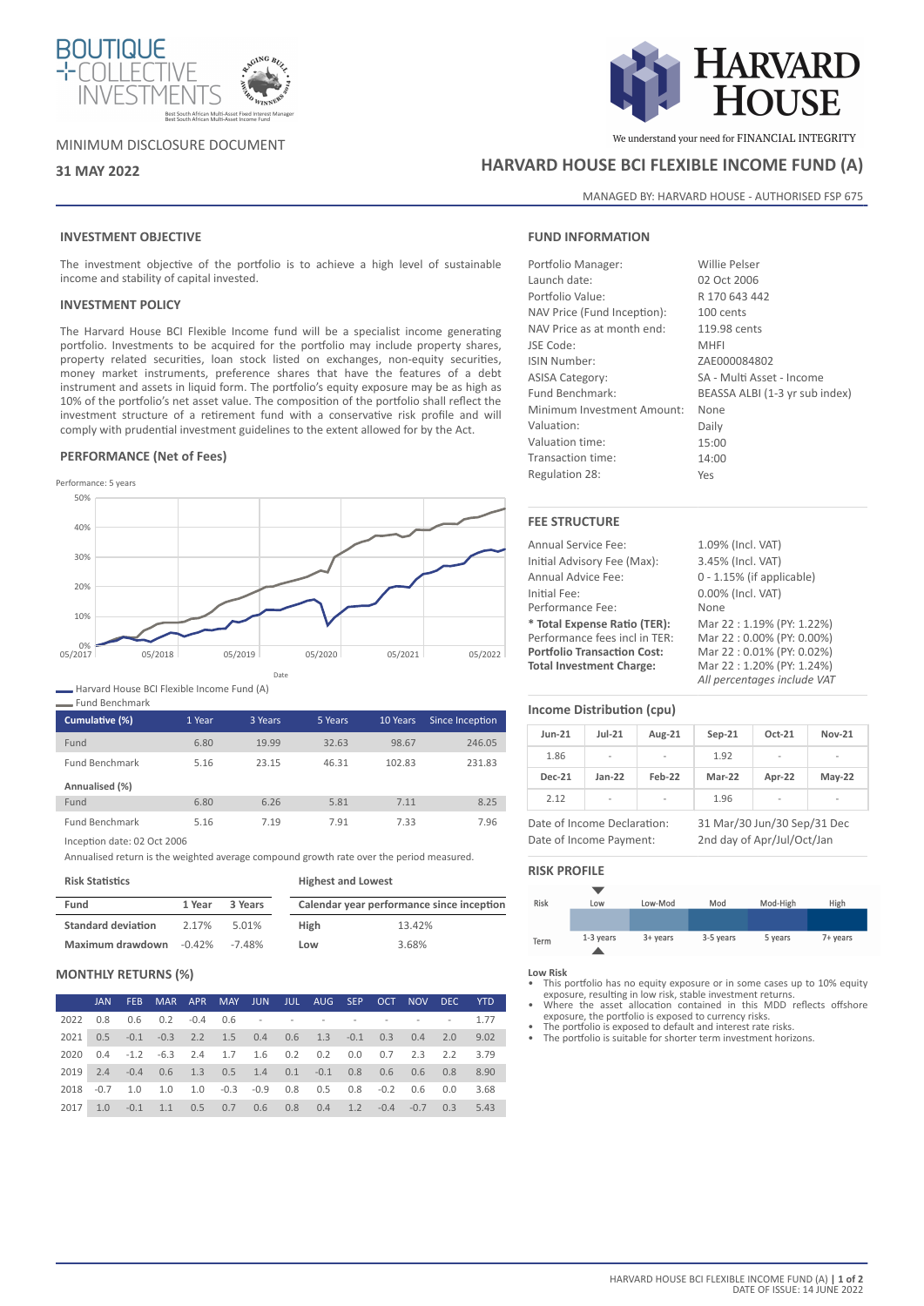

# MINIMUM DISCLOSURE DOCUMENT



We understand your need for FINANCIAL INTEGRITY

# **31 MAY 2022 HARVARD HOUSE BCI FLEXIBLE INCOME FUND (A)**

MANAGED BY: HARVARD HOUSE - AUTHORISED FSP 675

# **INVESTMENT OBJECTIVE**

The investment objective of the portfolio is to achieve a high level of sustainable income and stability of capital invested.

# **INVESTMENT POLICY**

The Harvard House BCI Flexible Income fund will be a specialist income generating portfolio. Investments to be acquired for the portfolio may include property shares, property related securities, loan stock listed on exchanges, non-equity securities, money market instruments, preference shares that have the features of a debt instrument and assets in liquid form. The portfolio's equity exposure may be as high as 10% of the portfolio's net asset value. The composition of the portfolio shall reflect the investment structure of a retirement fund with a conservative risk profile and will comply with prudential investment guidelines to the extent allowed for by the Act.

## **PERFORMANCE (Net of Fees)**



Harvard House BCI Flexible Income Fund (A)

Fund Benchmark

| Cumulative (%)        | 1 Year | 3 Years | 5 Years | 10 Years | Since Inception |
|-----------------------|--------|---------|---------|----------|-----------------|
| Fund                  | 6.80   | 19.99   | 32.63   | 98.67    | 246.05          |
| <b>Fund Benchmark</b> | 5.16   | 23.15   | 46.31   | 102.83   | 231.83          |
| Annualised (%)        |        |         |         |          |                 |
| Fund                  | 6.80   | 6.26    | 5.81    | 7.11     | 8.25            |
| <b>Fund Benchmark</b> | 5.16   | 7.19    | 7.91    | 7.33     | 7.96            |

Inception date: 02 Oct 2006

Annualised return is the weighted average compound growth rate over the period measured.

**Risk Statistics**

| Fund                                 | 1 Year | 3 Years |      | Calendar year performance since inception |
|--------------------------------------|--------|---------|------|-------------------------------------------|
| <b>Standard deviation</b>            | 2.17%  | 5.01%   | High | 13.42%                                    |
| Maximum drawdown $-0.42\%$ $-7.48\%$ |        |         | Low  | 3.68%                                     |

**Highest and Lowest**

# **MONTHLY RETURNS (%)**

|      |  | JAN FEB MAR APR MAY JUN JUL AUG SEP OCT NOV DEC YTD                |  |  |  |  |  |
|------|--|--------------------------------------------------------------------|--|--|--|--|--|
|      |  | 2022  0.8  0.6  0.2  -0.4  0.6  -  -  -  -  -  -  -  -  -  -  1.77 |  |  |  |  |  |
|      |  | 2021 0.5 -0.1 -0.3 2.2 1.5 0.4 0.6 1.3 -0.1 0.3 0.4 2.0 9.02       |  |  |  |  |  |
| 2020 |  | 0.4 -1.2 -6.3 2.4 1.7 1.6 0.2 0.2 0.0 0.7 2.3 2.2 3.79             |  |  |  |  |  |
|      |  | 2019 2.4 -0.4 0.6 1.3 0.5 1.4 0.1 -0.1 0.8 0.6 0.6 0.8 8.90        |  |  |  |  |  |
|      |  | 2018 -0.7 1.0 1.0 1.0 -0.3 -0.9 0.8 0.5 0.8 -0.2 0.6 0.0 3.68      |  |  |  |  |  |
|      |  | 2017 1.0 -0.1 1.1 0.5 0.7 0.6 0.8 0.4 1.2 -0.4 -0.7 0.3 5.43       |  |  |  |  |  |

# **FUND INFORMATION**

| Portfolio Manager:          | Willie Pelser                  |
|-----------------------------|--------------------------------|
| Launch date:                | 02 Oct 2006                    |
| Portfolio Value:            | R 170 643 442                  |
| NAV Price (Fund Inception): | 100 cents                      |
| NAV Price as at month end:  | 119.98 cents                   |
| JSE Code:                   | <b>MHFI</b>                    |
| <b>ISIN Number:</b>         | ZAE000084802                   |
| <b>ASISA Category:</b>      | SA - Multi Asset - Income      |
| Fund Benchmark:             | BEASSA ALBI (1-3 yr sub index) |
| Minimum Investment Amount:  | None                           |
| Valuation:                  | Daily                          |
| Valuation time:             | 15:00                          |
| Transaction time:           | 14:00                          |
| Regulation 28:              | Yes                            |

# **FEE STRUCTURE**

| Annual Service Fee:                | 1.09% (Incl. VAT)            |
|------------------------------------|------------------------------|
| Initial Advisory Fee (Max):        | 3.45% (Incl. VAT)            |
| Annual Advice Fee:                 | $0 - 1.15\%$ (if applicable) |
| Initial Fee:                       | 0.00% (Incl. VAT)            |
| Performance Fee:                   | None                         |
| * Total Expense Ratio (TER):       | Mar 22: 1.19% (PY: 1.22%)    |
| Performance fees incl in TER:      | Mar 22:0.00% (PY: 0.00%)     |
| <b>Portfolio Transaction Cost:</b> | Mar 22:0.01% (PY: 0.02%)     |
| <b>Total Investment Charge:</b>    | Mar 22:1.20% (PY: 1.24%)     |
|                                    | All percentages include VAT  |

# **Income Distribution (cpu)**

| <b>Jun-21</b> | $Jul-21$       | Aug-21                   | $Sep-21$ | Oct-21                   | <b>Nov-21</b> |
|---------------|----------------|--------------------------|----------|--------------------------|---------------|
| 1.86          | $\overline{a}$ | -                        | 1.92     | $\overline{\phantom{a}}$ | -             |
| <b>Dec-21</b> | $Jan-22$       | Feb-22                   | Mar-22   | Apr-22                   | $May-22$      |
| 2.12          | -              | $\overline{\phantom{a}}$ | 1.96     | $\overline{\phantom{a}}$ | -             |

Date of Income Payment: 2nd day of Apr/Jul/Oct/Jan

Date of Income Declaration: 31 Mar/30 Jun/30 Sep/31 Dec

# **RISK PROFILE**



**Low Risk**

- This portfolio has no equity exposure or in some cases up to 10% equity exposure, resulting in low risk, stable investment returns. • Where the asset allocation contained in this MDD reflects offshore
- exposure, the portfolio is exposed to currency risks. The portfolio is exposed to default and interest rate risks. The portfolio is suitable for shorter term investment horizons.
- 
-